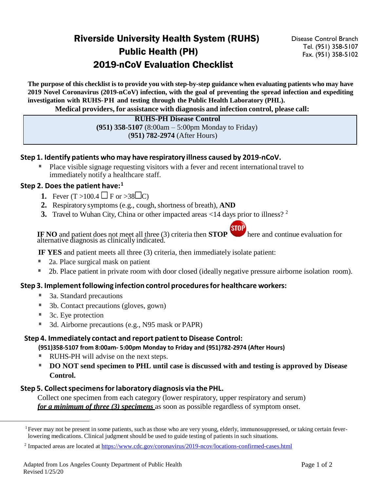# Riverside University Health System (RUHS) Public Health (PH) 2019-nCoV Evaluation Checklist

Disease Control Branch Tel. (951) 358-5107 Fax. (951) 358-5102

The purpose of this checklist is to provide you with step-by-step guidance when evaluating patients who may have **2019 Novel Coronavirus (2019-nCoV) infection, with the goal of preventing the spread infection and expediting investigation with RUHS-PH and testing through the Public Health Laboratory (PHL).**

**Medical providers, for assistance with diagnosis and infection control, please call:**

#### **RUHS-PH Disease Control (951) 358-5107** (8:00am – 5:00pm Monday to Friday) (**951) 782-2974** (After Hours)

## **Step 1. Identify patients who may have respiratory illness caused by 2019-nCoV.**

Place visible signage requesting visitors with a fever and recent international travel to immediately notify a healthcare staff.

## **Step 2. Does the patient have: [1](#page-0-0)**

- **1.** Fever  $(T > 100.4$   $\Box$  F or  $> 38 \Box C$ )
- **2.** Respiratory symptoms (e.g., cough, shortness of breath), **AND**
- **3.** Travel to Wuhan City, China or other impacted areas <14 days prior to illness? <sup>[2](#page-0-0)</sup>

**IF** NO and patient does not meet all three (3) criteria then **STOP** here and continue evaluation for alternative diagnosis as clinically indicated.

**IF YES** and patient meets all three (3) criteria, then immediately isolate patient:

- 2a. Place surgical mask on patient
- 2b. Place patient in private room with door closed (ideally negative pressure airborne isolation room).

### **Step 3. Implementfollowing infection control proceduresfor healthcare workers:**

- 3a. Standard precautions
- 3b. Contact precautions (gloves, gown)
- 3c. Eye protection
- 3d. Airborne precautions (e.g., N95 mask or PAPR)

### **Step 4. Immediately contact and report patientto Disease Control:**

**(951)358-5107 from 8:00am- 5:00pm Monday to Friday and (951)782-2974 (After Hours)**

- RUHS-PH will advise on the next steps.
- **DO NOT send specimen to PHL until case is discussed with and testing is approved by Disease Control.**

## **Step 5. Collectspecimensforlaboratory diagnosis via the PHL.**

Collect one specimen from each category (lower respiratory, upper respiratory and serum) *for a minimum of three (3) specimens* as soon as possible regardless of symptom onset.

<span id="page-0-0"></span><sup>&</sup>lt;sup>1</sup> Fever may not be present in some patients, such as those who are very young, elderly, immunosuppressed, or taking certain feverlowering medications. Clinical judgment should be used to guide testing of patients in such situations.

<sup>&</sup>lt;sup>2</sup> Impacted areas are located a[t https://www.cdc.gov/coronavirus/2019-ncov/locations-confirmed-cases.html](https://www.cdc.gov/coronavirus/2019-ncov/locations-confirmed-cases.html)